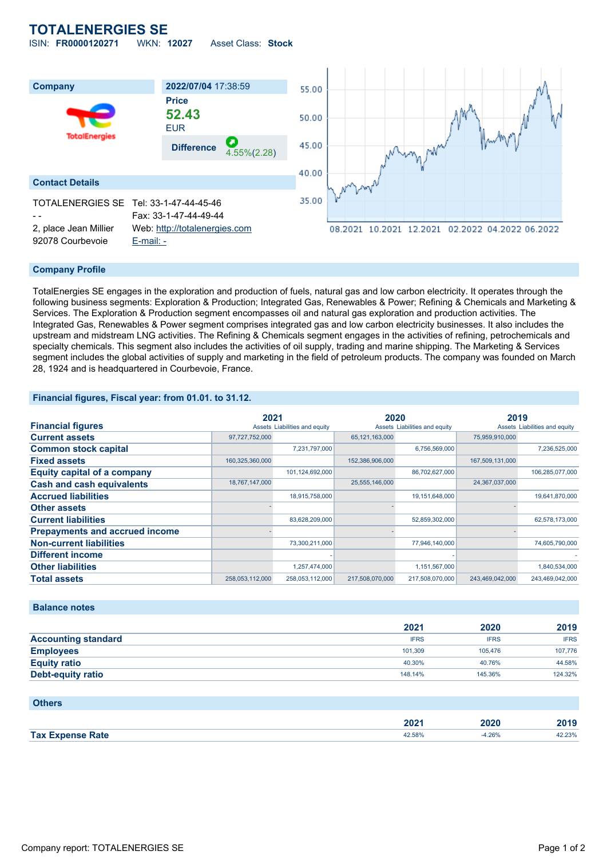## **TOTALENERGIES SE**

ISIN: **FR0000120271** WKN: **12027** Asset Class: **Stock**



#### **Company Profile**

TotalEnergies SE engages in the exploration and production of fuels, natural gas and low carbon electricity. It operates through the following business segments: Exploration & Production; Integrated Gas, Renewables & Power; Refining & Chemicals and Marketing & Services. The Exploration & Production segment encompasses oil and natural gas exploration and production activities. The Integrated Gas, Renewables & Power segment comprises integrated gas and low carbon electricity businesses. It also includes the upstream and midstream LNG activities. The Refining & Chemicals segment engages in the activities of refining, petrochemicals and specialty chemicals. This segment also includes the activities of oil supply, trading and marine shipping. The Marketing & Services segment includes the global activities of supply and marketing in the field of petroleum products. The company was founded on March 28, 1924 and is headquartered in Courbevoie, France.

### **Financial figures, Fiscal year: from 01.01. to 31.12.**

|                                       |                 | 2021                          |                   | 2020                          |                 | 2019                          |  |
|---------------------------------------|-----------------|-------------------------------|-------------------|-------------------------------|-----------------|-------------------------------|--|
| <b>Financial figures</b>              |                 | Assets Liabilities and equity |                   | Assets Liabilities and equity |                 | Assets Liabilities and equity |  |
| <b>Current assets</b>                 | 97,727,752,000  |                               | 65, 121, 163, 000 |                               | 75,959,910,000  |                               |  |
| <b>Common stock capital</b>           |                 | 7,231,797,000                 |                   | 6,756,569,000                 |                 | 7,236,525,000                 |  |
| <b>Fixed assets</b>                   | 160,325,360,000 |                               | 152,386,906,000   |                               | 167,509,131,000 |                               |  |
| <b>Equity capital of a company</b>    |                 | 101,124,692,000               |                   | 86,702,627,000                |                 | 106,285,077,000               |  |
| <b>Cash and cash equivalents</b>      | 18,767,147,000  |                               | 25,555,146,000    |                               | 24,367,037,000  |                               |  |
| <b>Accrued liabilities</b>            |                 | 18,915,758,000                |                   | 19,151,648,000                |                 | 19,641,870,000                |  |
| <b>Other assets</b>                   |                 |                               |                   |                               |                 |                               |  |
| <b>Current liabilities</b>            |                 | 83,628,209,000                |                   | 52,859,302,000                |                 | 62,578,173,000                |  |
| <b>Prepayments and accrued income</b> |                 |                               |                   |                               |                 |                               |  |
| <b>Non-current liabilities</b>        |                 | 73,300,211,000                |                   | 77,946,140,000                |                 | 74,605,790,000                |  |
| <b>Different income</b>               |                 |                               |                   |                               |                 |                               |  |
| <b>Other liabilities</b>              |                 | 1,257,474,000                 |                   | 1,151,567,000                 |                 | 1,840,534,000                 |  |
| <b>Total assets</b>                   | 258,053,112,000 | 258,053,112,000               | 217,508,070,000   | 217,508,070,000               | 243,469,042,000 | 243,469,042,000               |  |

### **Balance notes**

|                            | 2021        | 2020        | 2019        |
|----------------------------|-------------|-------------|-------------|
| <b>Accounting standard</b> | <b>IFRS</b> | <b>IFRS</b> | <b>IFRS</b> |
| <b>Employees</b>           | 101.309     | 105.476     | 107.776     |
| <b>Equity ratio</b>        | 40.30%      | 40.76%      | 44.58%      |
| <b>Debt-equity ratio</b>   | 148.14%     | 145.36%     | 124.32%     |

## **Others**

|                         | 202 <sub>1</sub> | חרחר<br>∠020 | 2019   |
|-------------------------|------------------|--------------|--------|
| <b>Tax Expense Rate</b> | 42.58%           | .26%         | 42.23% |